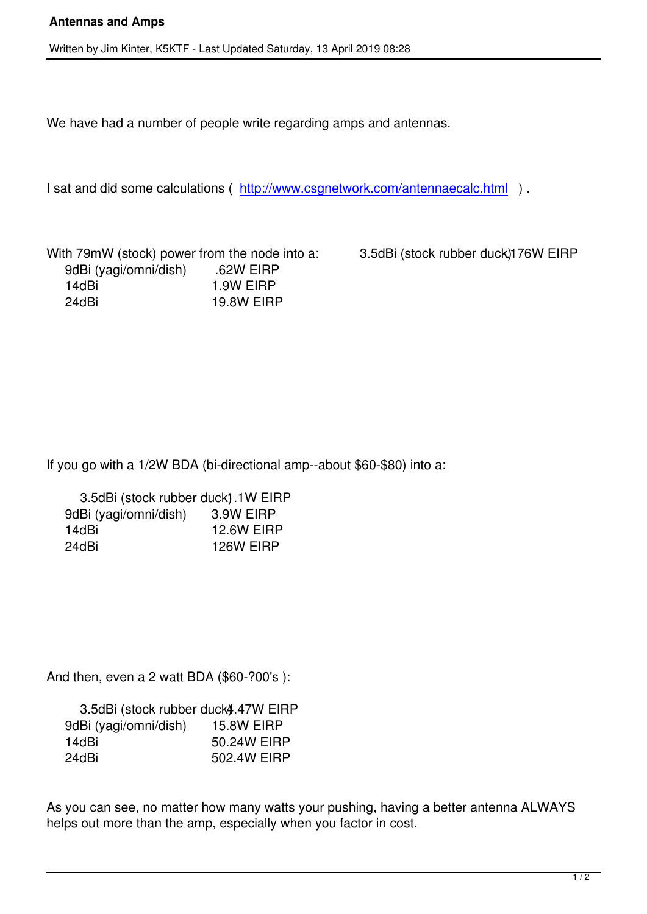We have had a number of people write regarding amps and antennas.

I sat and did some calculations ( http://www.csgnetwork.com/antennaecalc.html ).

With 79mW (stock) power from the node into a: 3.5dBi (stock rubber duck) 176W EIRP 9dBi (yagi/omni/dish) .62W EIRP 14dBi 1.9W EIRP 24dBi 19.8W EIRP

If you go with a 1/2W BDA (bi-directional amp--about \$60-\$80) into a:

| 3.5dBi (stock rubber duck).1W EIRP |                   |
|------------------------------------|-------------------|
| 9dBi (yagi/omni/dish)              | 3.9W EIRP         |
| 14dBi                              | <b>12.6W EIRP</b> |
| 24dBi                              | 126W EIRP         |

And then, even a 2 watt BDA (\$60-?00's ):

| 3.5dBi (stock rubber duck4.47W EIRP |                   |
|-------------------------------------|-------------------|
| 9dBi (yagi/omni/dish)               | <b>15.8W EIRP</b> |
| 14dBi                               | 50.24W EIRP       |
| 24dBi                               | 502.4W EIRP       |

As you can see, no matter how many watts your pushing, having a better antenna ALWAYS helps out more than the amp, especially when you factor in cost.